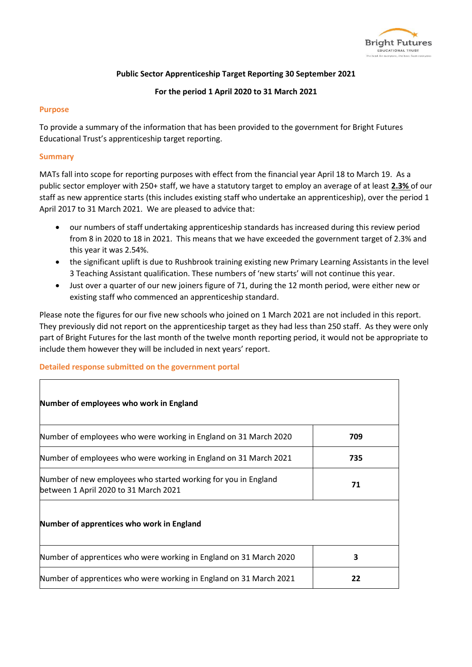

# **Public Sector Apprenticeship Target Reporting 30 September 2021**

## **For the period 1 April 2020 to 31 March 2021**

#### **Purpose**

To provide a summary of the information that has been provided to the government for Bright Futures Educational Trust's apprenticeship target reporting.

### **Summary**

MATs fall into scope for reporting purposes with effect from the financial year April 18 to March 19. As a public sector employer with 250+ staff, we have a statutory target to employ an average of at least **2.3%** of our staff as new apprentice starts (this includes existing staff who undertake an apprenticeship), over the period 1 April 2017 to 31 March 2021. We are pleased to advice that:

- our numbers of staff undertaking apprenticeship standards has increased during this review period from 8 in 2020 to 18 in 2021. This means that we have exceeded the government target of 2.3% and this year it was 2.54%.
- the significant uplift is due to Rushbrook training existing new Primary Learning Assistants in the level 3 Teaching Assistant qualification. These numbers of 'new starts' will not continue this year.
- Just over a quarter of our new joiners figure of 71, during the 12 month period, were either new or existing staff who commenced an apprenticeship standard.

Please note the figures for our five new schools who joined on 1 March 2021 are not included in this report. They previously did not report on the apprenticeship target as they had less than 250 staff. As they were only part of Bright Futures for the last month of the twelve month reporting period, it would not be appropriate to include them however they will be included in next years' report.

## **Detailed response submitted on the government portal**

| Number of employees who work in England                                                                 |     |  |
|---------------------------------------------------------------------------------------------------------|-----|--|
| Number of employees who were working in England on 31 March 2020                                        | 709 |  |
| Number of employees who were working in England on 31 March 2021                                        | 735 |  |
| Number of new employees who started working for you in England<br>between 1 April 2020 to 31 March 2021 | 71  |  |
| Number of apprentices who work in England                                                               |     |  |
| Number of apprentices who were working in England on 31 March 2020                                      | 3   |  |
| Number of apprentices who were working in England on 31 March 2021                                      | 22  |  |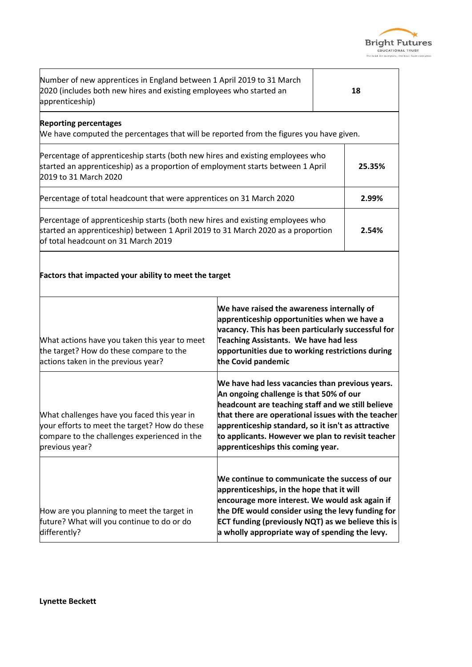

٦

| Number of new apprentices in England between 1 April 2019 to 31 March<br>2020 (includes both new hires and existing employees who started an<br>apprenticeship)                                                    |                                                                                                                                                                                                                                                                                                                                                       | 18     |  |
|--------------------------------------------------------------------------------------------------------------------------------------------------------------------------------------------------------------------|-------------------------------------------------------------------------------------------------------------------------------------------------------------------------------------------------------------------------------------------------------------------------------------------------------------------------------------------------------|--------|--|
| <b>Reporting percentages</b><br>We have computed the percentages that will be reported from the figures you have given.                                                                                            |                                                                                                                                                                                                                                                                                                                                                       |        |  |
| Percentage of apprenticeship starts (both new hires and existing employees who<br>started an apprenticeship) as a proportion of employment starts between 1 April<br>2019 to 31 March 2020                         |                                                                                                                                                                                                                                                                                                                                                       | 25.35% |  |
| Percentage of total headcount that were apprentices on 31 March 2020                                                                                                                                               |                                                                                                                                                                                                                                                                                                                                                       | 2.99%  |  |
| Percentage of apprenticeship starts (both new hires and existing employees who<br>started an apprenticeship) between 1 April 2019 to 31 March 2020 as a proportion<br>2.54%<br>of total headcount on 31 March 2019 |                                                                                                                                                                                                                                                                                                                                                       |        |  |
| Factors that impacted your ability to meet the target                                                                                                                                                              |                                                                                                                                                                                                                                                                                                                                                       |        |  |
| What actions have you taken this year to meet<br>the target? How do these compare to the<br>actions taken in the previous year?                                                                                    | We have raised the awareness internally of<br>apprenticeship opportunities when we have a<br>vacancy. This has been particularly successful for<br>Teaching Assistants. We have had less<br>opportunities due to working restrictions during<br>the Covid pandemic                                                                                    |        |  |
| What challenges have you faced this year in<br>your efforts to meet the target? How do these<br>compare to the challenges experienced in the<br>previous year?                                                     | We have had less vacancies than previous years.<br>An ongoing challenge is that 50% of our<br>headcount are teaching staff and we still believe<br>that there are operational issues with the teacher<br>apprenticeship standard, so it isn't as attractive<br>to applicants. However we plan to revisit teacher<br>apprenticeships this coming year. |        |  |
| How are you planning to meet the target in<br>future? What will you continue to do or do<br>differently?                                                                                                           | We continue to communicate the success of our<br>apprenticeships, in the hope that it will<br>encourage more interest. We would ask again if<br>the DfE would consider using the levy funding for<br>ECT funding (previously NQT) as we believe this is<br>a wholly appropriate way of spending the levy.                                             |        |  |